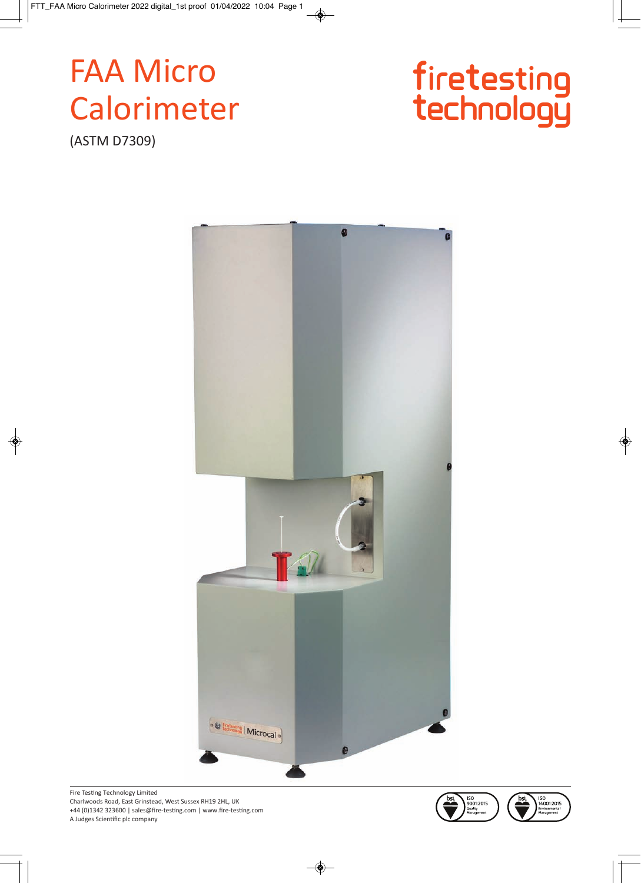# **FAA Micro** Calorimeter

(ASTM D7309)





Fire Testing Technology Limited Charlwoods Road, East Grinstead, West Sussex RH19 2HL, UK +44 (0)1342 323600 | sales@fire-testing.com | www.fire-testing.com A Judges Scientific plc company

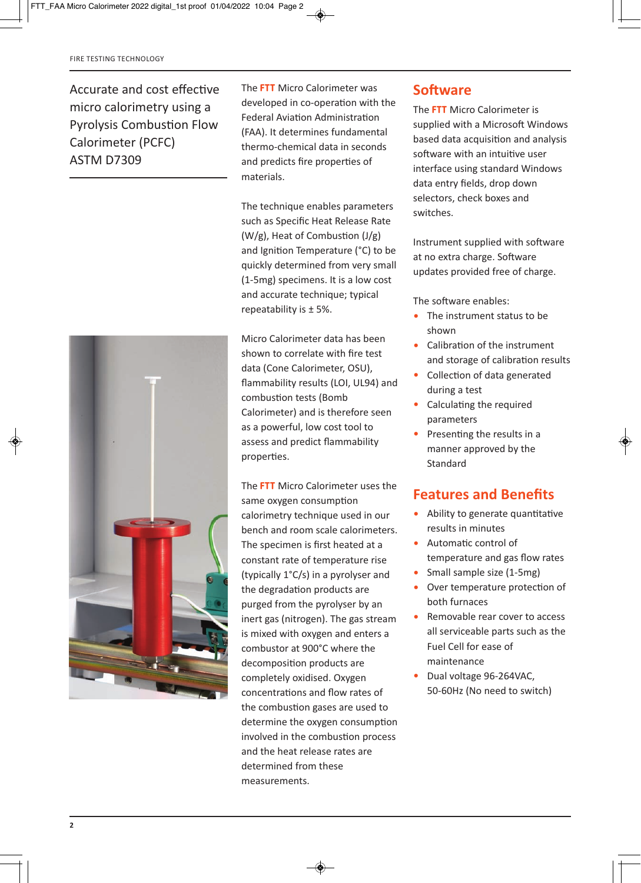Accurate and cost effective micro calorimetry using a Pyrolysis Combustion Flow Calorimeter (PCFC) ASTM D7309



The **FTT** Micro Calorimeter was developed in co-operation with the Federal Aviation Administration (FAA). It determines fundamental thermo-chemical data in seconds and predicts fire properties of materials.

The technique enables parameters such as Specific Heat Release Rate (W/g), Heat of Combustion (J/g) and Ignition Temperature (°C) to be quickly determined from very small (1-5mg) specimens. It is a low cost and accurate technique; typical repeatability is ± 5%.

Micro Calorimeter data has been shown to correlate with fire test data (Cone Calorimeter, OSU), flammability results (LOI, UL94) and combustion tests (Bomb Calorimeter) and is therefore seen as a powerful, low cost tool to assess and predict flammability properties.

The **FTT** Micro Calorimeter uses the same oxygen consumption calorimetry technique used in our bench and room scale calorimeters. The specimen is first heated at a constant rate of temperature rise (typically 1°C/s) in a pyrolyser and the degradation products are purged from the pyrolyser by an inert gas (nitrogen). The gas stream is mixed with oxygen and enters a combustor at 900°C where the decomposition products are completely oxidised. Oxygen concentrations and flow rates of the combustion gases are used to determine the oxygen consumption involved in the combustion process and the heat release rates are determined from these measurements.

### **Software**

The **FTT** Micro Calorimeter is supplied with a Microsoft Windows based data acquisition and analysis software with an intuitive user interface using standard Windows data entry fields, drop down selectors, check boxes and switches.

Instrument supplied with software at no extra charge. Software updates provided free of charge.

The software enables:

- The instrument status to be shown
- Calibration of the instrument and storage of calibration results
- Collection of data generated during a test
- Calculating the required parameters
- Presenting the results in a manner approved by the Standard

#### **Features and Benefits**

- Ability to generate quantitative results in minutes
- Automatic control of temperature and gas flow rates
- Small sample size (1-5mg)
- Over temperature protection of both furnaces
- Removable rear cover to access all serviceable parts such as the Fuel Cell for ease of maintenance
- Dual voltage 96-264VAC. 50-60Hz (No need to switch)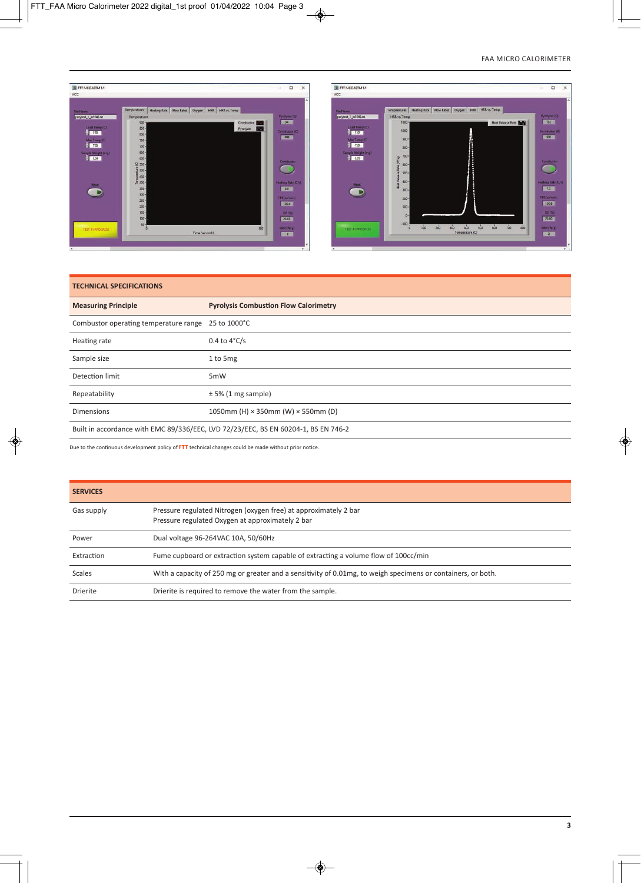

| <b>TECHNICAL SPECIFICATIONS</b>                                                    |                                                  |
|------------------------------------------------------------------------------------|--------------------------------------------------|
| <b>Measuring Principle</b>                                                         | <b>Pyrolysis Combustion Flow Calorimetry</b>     |
| Combustor operating temperature range 25 to 1000°C                                 |                                                  |
| Heating rate                                                                       | $0.4$ to $4^{\circ}$ C/s                         |
| Sample size                                                                        | 1 to 5mg                                         |
| Detection limit                                                                    | 5mW                                              |
| Repeatability                                                                      | ± 5% (1 mg sample)                               |
| Dimensions                                                                         | 1050mm (H) $\times$ 350mm (W) $\times$ 550mm (D) |
| Built in accordance with EMC 89/336/EEC, LVD 72/23/EEC, BS EN 60204-1, BS EN 746-2 |                                                  |

Due to the continuous development policy of **FTT** technical changes could be made without prior notice.

| <b>SERVICES</b> |                                                                                                                      |
|-----------------|----------------------------------------------------------------------------------------------------------------------|
| Gas supply      | Pressure regulated Nitrogen (oxygen free) at approximately 2 bar<br>Pressure regulated Oxygen at approximately 2 bar |
| Power           | Dual voltage 96-264VAC 10A, 50/60Hz                                                                                  |
| Extraction      | Fume cupboard or extraction system capable of extracting a volume flow of 100cc/min                                  |
| Scales          | With a capacity of 250 mg or greater and a sensitivity of 0.01 mg, to weigh specimens or containers, or both.        |
| Drierite        | Drierite is required to remove the water from the sample.                                                            |